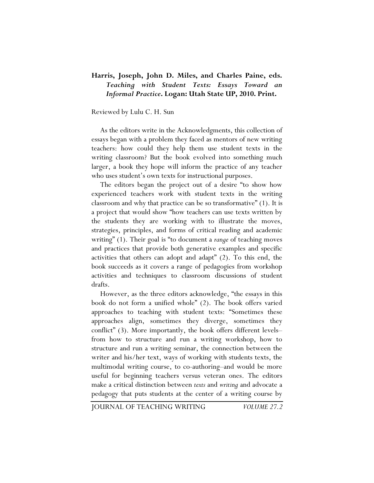## **Harris, Joseph, John D. Miles, and Charles Paine, eds.**  *Teaching with Student Texts: Essays Toward an Informal Practice***. Logan: Utah State UP, 2010. Print.**

## Reviewed by Lulu C. H. Sun

As the editors write in the Acknowledgments, this collection of essays began with a problem they faced as mentors of new writing teachers: how could they help them use student texts in the writing classroom? But the book evolved into something much larger, a book they hope will inform the practice of any teacher who uses student's own texts for instructional purposes.

The editors began the project out of a desire "to show how experienced teachers work with student texts in the writing classroom and why that practice can be so transformative" (1). It is a project that would show "how teachers can use texts written by the students they are working with to illustrate the moves, strategies, principles, and forms of critical reading and academic writing" (1). Their goal is "to document a *range* of teaching moves and practices that provide both generative examples and specific activities that others can adopt and adapt" (2). To this end, the book succeeds as it covers a range of pedagogies from workshop activities and techniques to classroom discussions of student drafts.

However, as the three editors acknowledge, "the essays in this book do not form a unified whole" (2). The book offers varied approaches to teaching with student texts: "Sometimes these approaches align, sometimes they diverge, sometimes they conflict" (3). More importantly, the book offers different levels– from how to structure and run a writing workshop, how to structure and run a writing seminar, the connection between the writer and his/her text, ways of working with students texts, the multimodal writing course, to co-authoring–and would be more useful for beginning teachers versus veteran ones. The editors make a critical distinction between *texts* and *writing* and advocate a pedagogy that puts students at the center of a writing course by

JOURNAL OF TEACHING WRITING *VOLUME 27.2*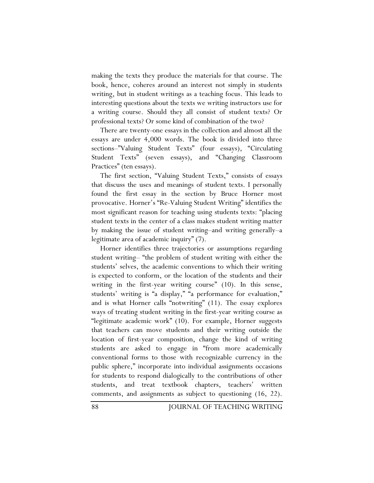making the texts they produce the materials for that course. The book, hence, coheres around an interest not simply in students writing, but in student writings as a teaching focus. This leads to interesting questions about the texts we writing instructors use for a writing course. Should they all consist of student texts? Or professional texts? Or some kind of combination of the two?

There are twenty-one essays in the collection and almost all the essays are under 4,000 words. The book is divided into three sections–"Valuing Student Texts" (four essays), "Circulating Student Texts" (seven essays), and "Changing Classroom Practices" (ten essays).

The first section, "Valuing Student Texts," consists of essays that discuss the uses and meanings of student texts. I personally found the first essay in the section by Bruce Horner most provocative. Horner's "Re-Valuing Student Writing" identifies the most significant reason for teaching using students texts: "placing student texts in the center of a class makes student writing matter by making the issue of student writing–and writing generally–a legitimate area of academic inquiry" (7).

Horner identifies three trajectories or assumptions regarding student writing– "the problem of student writing with either the students' selves, the academic conventions to which their writing is expected to conform, or the location of the students and their writing in the first-year writing course" (10). In this sense, students' writing is "a display," "a performance for evaluation," and is what Horner calls "notwriting" (11). The essay explores ways of treating student writing in the first-year writing course as "legitimate academic work" (10). For example, Horner suggests that teachers can move students and their writing outside the location of first-year composition, change the kind of writing students are asked to engage in "from more academically conventional forms to those with recognizable currency in the public sphere," incorporate into individual assignments occasions for students to respond dialogically to the contributions of other students, and treat textbook chapters, teachers' written comments, and assignments as subject to questioning (16, 22).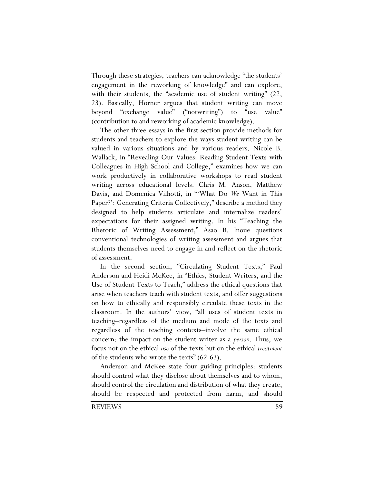Through these strategies, teachers can acknowledge "the students' engagement in the reworking of knowledge" and can explore, with their students, the "academic use of student writing" (22, 23). Basically, Horner argues that student writing can move beyond "exchange value" ("notwriting") to "use value" (contribution to and reworking of academic knowledge).

The other three essays in the first section provide methods for students and teachers to explore the ways student writing can be valued in various situations and by various readers. Nicole B. Wallack, in "Revealing Our Values: Reading Student Texts with Colleagues in High School and College," examines how we can work productively in collaborative workshops to read student writing across educational levels. Chris M. Anson, Matthew Davis, and Domenica Vilhotti, in "'What Do *We* Want in This Paper?': Generating Criteria Collectively," describe a method they designed to help students articulate and internalize readers' expectations for their assigned writing. In his "Teaching the Rhetoric of Writing Assessment," Asao B. Inoue questions conventional technologies of writing assessment and argues that students themselves need to engage in and reflect on the rhetoric of assessment.

In the second section, "Circulating Student Texts," Paul Anderson and Heidi McKee, in "Ethics, Student Writers, and the Use of Student Texts to Teach," address the ethical questions that arise when teachers teach with student texts, and offer suggestions on how to ethically and responsibly circulate these texts in the classroom. In the authors' view, "all uses of student texts in teaching–regardless of the medium and mode of the texts and regardless of the teaching contexts–involve the same ethical concern: the impact on the student writer as a *person*. Thus, we focus not on the ethical *use* of the texts but on the ethical *treatment* of the students who wrote the texts" (62-63).

Anderson and McKee state four guiding principles: students should control what they disclose about themselves and to whom, should control the circulation and distribution of what they create, should be respected and protected from harm, and should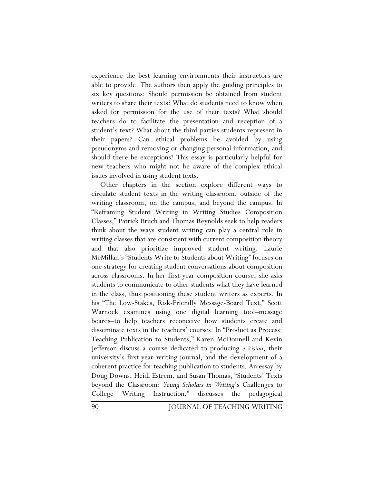experience the best learning environments their instructors are able to provide. The authors then apply the guiding principles to six key questions: Should permission be obtained from student writers to share their texts? What do students need to know when asked for permission for the use of their texts? What should teachers do to facilitate the presentation and reception of a student's text? What about the third parties students represent in their papers? Can ethical problems be avoided by using pseudonyms and removing or changing personal information, and should there be exceptions? This essay is particularly helpful for new teachers who might not be aware of the complex ethical issues involved in using student texts.

Other chapters in the section explore different ways to circulate student texts in the writing classroom, outside of the writing classroom, on the campus, and beyond the campus. In "Reframing Student Writing in Writing Studies Composition Classes," Patrick Bruch and Thomas Reynolds seek to help readers think about the ways student writing can play a central role in writing classes that are consistent with current composition theory and that also prioritize improved student writing. Laurie McMillan's "Students Write to Students about Writing" focuses on one strategy for creating student conversations about composition across classrooms. In her first-year composition course, she asks students to communicate to other students what they have learned in the class, thus positioning these student writers as experts. In his "The Low-Stakes, Risk-Friendly Message-Board Text," Scott Warnock examines using one digital learning tool–message boards–to help teachers reconceive how students create and disseminate texts in the teachers' courses. In "Product as Process: Teaching Publication to Students," Karen McDonnell and Kevin Jefferson discuss a course dedicated to producing *e-Vision*, their university's first-year writing journal, and the development of a coherent practice for teaching publication to students. An essay by Doug Downs, Heidi Estrem, and Susan Thomas, "Students' Texts beyond the Classroom: *Young Scholars in Writing*'s Challenges to College Writing Instruction," discusses the pedagogical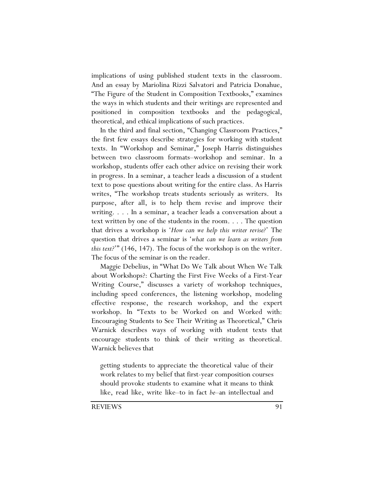implications of using published student texts in the classroom. And an essay by Mariolina Rizzi Salvatori and Patricia Donahue, "The Figure of the Student in Composition Textbooks," examines the ways in which students and their writings are represented and positioned in composition textbooks and the pedagogical, theoretical, and ethical implications of such practices.

In the third and final section, "Changing Classroom Practices," the first few essays describe strategies for working with student texts. In "Workshop and Seminar," Joseph Harris distinguishes between two classroom formats–workshop and seminar. In a workshop, students offer each other advice on revising their work in progress. In a seminar, a teacher leads a discussion of a student text to pose questions about writing for the entire class. As Harris writes, "The workshop treats students seriously as writers. Its purpose, after all, is to help them revise and improve their writing. . . . In a seminar, a teacher leads a conversation about a text written by one of the students in the room. . . . The question that drives a workshop is '*How can we help this writer revise?*' The question that drives a seminar is '*what can we learn as writers from this text?*'" (146, 147). The focus of the workshop is on the writer. The focus of the seminar is on the reader.

Maggie Debelius, in "What Do We Talk about When We Talk about Workshops?: Charting the First Five Weeks of a First-Year Writing Course," discusses a variety of workshop techniques, including speed conferences, the listening workshop, modeling effective response, the research workshop, and the expert workshop. In "Texts to be Worked on and Worked with: Encouraging Students to See Their Writing as Theoretical," Chris Warnick describes ways of working with student texts that encourage students to think of their writing as theoretical. Warnick believes that

getting students to appreciate the theoretical value of their work relates to my belief that first-year composition courses should provoke students to examine what it means to think like, read like, write like–to in fact *be*–an intellectual and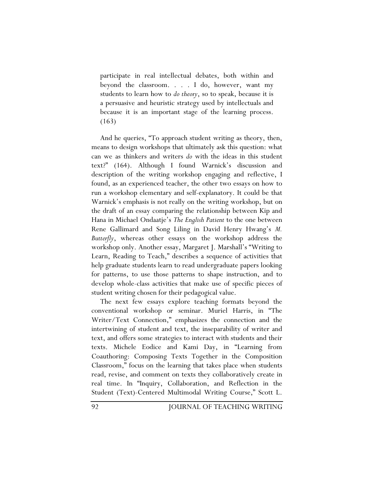participate in real intellectual debates, both within and beyond the classroom. . . . I do, however, want my students to learn how to *do theory*, so to speak, because it is a persuasive and heuristic strategy used by intellectuals and because it is an important stage of the learning process. (163)

And he queries, "To approach student writing as theory, then, means to design workshops that ultimately ask this question: what can we as thinkers and writers *do* with the ideas in this student text?" (164). Although I found Warnick's discussion and description of the writing workshop engaging and reflective, I found, as an experienced teacher, the other two essays on how to run a workshop elementary and self-explanatory. It could be that Warnick's emphasis is not really on the writing workshop, but on the draft of an essay comparing the relationship between Kip and Hana in Michael Ondaatje's *The English Patient* to the one between Rene Gallimard and Song Liling in David Henry Hwang's *M. Butterfly*, whereas other essays on the workshop address the workshop only. Another essay, Margaret J. Marshall's "Writing to Learn, Reading to Teach," describes a sequence of activities that help graduate students learn to read undergraduate papers looking for patterns, to use those patterns to shape instruction, and to develop whole-class activities that make use of specific pieces of student writing chosen for their pedagogical value.

The next few essays explore teaching formats beyond the conventional workshop or seminar. Muriel Harris, in "The Writer/Text Connection," emphasizes the connection and the intertwining of student and text, the inseparability of writer and text, and offers some strategies to interact with students and their texts. Michele Eodice and Kami Day, in "Learning from Coauthoring: Composing Texts Together in the Composition Classroom," focus on the learning that takes place when students read, revise, and comment on texts they collaboratively create in real time. In "Inquiry, Collaboration, and Reflection in the Student (Text)-Centered Multimodal Writing Course," Scott L.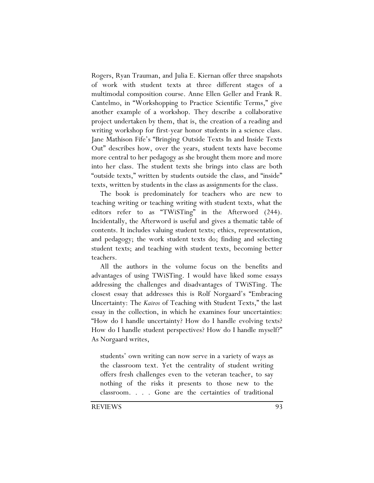Rogers, Ryan Trauman, and Julia E. Kiernan offer three snapshots of work with student texts at three different stages of a multimodal composition course. Anne Ellen Geller and Frank R. Cantelmo, in "Workshopping to Practice Scientific Terms," give another example of a workshop. They describe a collaborative project undertaken by them, that is, the creation of a reading and writing workshop for first-year honor students in a science class. Jane Mathison Fife's "Bringing Outside Texts In and Inside Texts Out" describes how, over the years, student texts have become more central to her pedagogy as she brought them more and more into her class. The student texts she brings into class are both "outside texts," written by students outside the class, and "inside" texts, written by students in the class as assignments for the class.

The book is predominately for teachers who are new to teaching writing or teaching writing with student texts, what the editors refer to as "TWiSTing" in the Afterword (244). Incidentally, the Afterword is useful and gives a thematic table of contents. It includes valuing student texts; ethics, representation, and pedagogy; the work student texts do; finding and selecting student texts; and teaching with student texts, becoming better teachers.

All the authors in the volume focus on the benefits and advantages of using TWiSTing. I would have liked some essays addressing the challenges and disadvantages of TWiSTing. The closest essay that addresses this is Rolf Norgaard's "Embracing Uncertainty: The *Kairos* of Teaching with Student Texts," the last essay in the collection, in which he examines four uncertainties: "How do I handle uncertainty? How do I handle evolving texts? How do I handle student perspectives? How do I handle myself?" As Norgaard writes,

students' own writing can now serve in a variety of ways as the classroom text. Yet the centrality of student writing offers fresh challenges even to the veteran teacher, to say nothing of the risks it presents to those new to the classroom. . . . Gone are the certainties of traditional